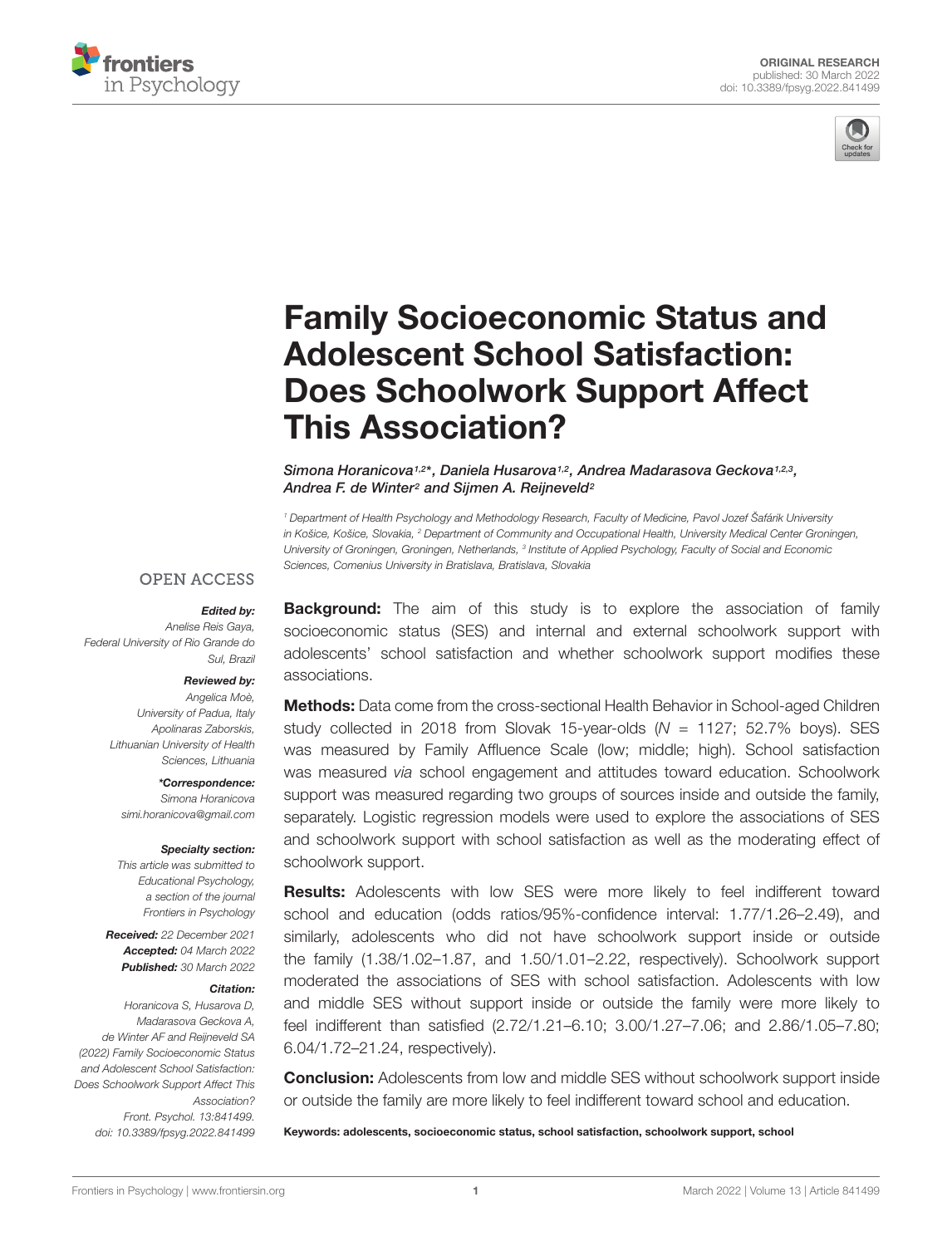



# [Family Socioeconomic Status and](https://www.frontiersin.org/articles/10.3389/fpsyg.2022.841499/full) Adolescent School Satisfaction: Does Schoolwork Support Affect This Association?

Simona Horanicova<sup>1,2\*</sup>, Daniela Husarova<sup>1,2</sup>, Andrea Madarasova Geckova<sup>1,2,3</sup>, Andrea F. de Winter<sup>2</sup> and Sijmen A. Reijneveld<sup>2</sup>

<sup>1</sup> Department of Health Psychology and Methodology Research, Faculty of Medicine, Pavol Jozef Šafárik University in Košice, Košice, Slovakia, <sup>2</sup> Department of Community and Occupational Health, University Medical Center Groningen, University of Groningen, Groningen, Netherlands, <sup>3</sup> Institute of Applied Psychology, Faculty of Social and Economic Sciences, Comenius University in Bratislava, Bratislava, Slovakia

#### **OPEN ACCESS**

#### Edited by:

Anelise Reis Gaya, Federal University of Rio Grande do Sul, Brazil

#### Reviewed by:

Angelica Moè, University of Padua, Italy Apolinaras Zaborskis, Lithuanian University of Health Sciences, Lithuania

\*Correspondence: Simona Horanicova simi.horanicova@gmail.com

#### Specialty section:

This article was submitted to Educational Psychology, a section of the journal Frontiers in Psychology

Received: 22 December 2021 Accepted: 04 March 2022 Published: 30 March 2022

#### Citation:

Horanicova S, Husarova D, Madarasova Geckova A, de Winter AF and Reijneveld SA (2022) Family Socioeconomic Status and Adolescent School Satisfaction: Does Schoolwork Support Affect This Association? Front. Psychol. 13:841499. doi: [10.3389/fpsyg.2022.841499](https://doi.org/10.3389/fpsyg.2022.841499) **Background:** The aim of this study is to explore the association of family socioeconomic status (SES) and internal and external schoolwork support with adolescents' school satisfaction and whether schoolwork support modifies these associations.

**Methods:** Data come from the cross-sectional Health Behavior in School-aged Children study collected in 2018 from Slovak 15-year-olds  $(N = 1127; 52.7\%$  boys). SES was measured by Family Affluence Scale (low; middle; high). School satisfaction was measured via school engagement and attitudes toward education. Schoolwork support was measured regarding two groups of sources inside and outside the family, separately. Logistic regression models were used to explore the associations of SES and schoolwork support with school satisfaction as well as the moderating effect of schoolwork support.

**Results:** Adolescents with low SES were more likely to feel indifferent toward school and education (odds ratios/95%-confidence interval: 1.77/1.26–2.49), and similarly, adolescents who did not have schoolwork support inside or outside the family (1.38/1.02–1.87, and 1.50/1.01–2.22, respectively). Schoolwork support moderated the associations of SES with school satisfaction. Adolescents with low and middle SES without support inside or outside the family were more likely to feel indifferent than satisfied (2.72/1.21–6.10; 3.00/1.27–7.06; and 2.86/1.05–7.80; 6.04/1.72–21.24, respectively).

**Conclusion:** Adolescents from low and middle SES without schoolwork support inside or outside the family are more likely to feel indifferent toward school and education.

Keywords: adolescents, socioeconomic status, school satisfaction, schoolwork support, school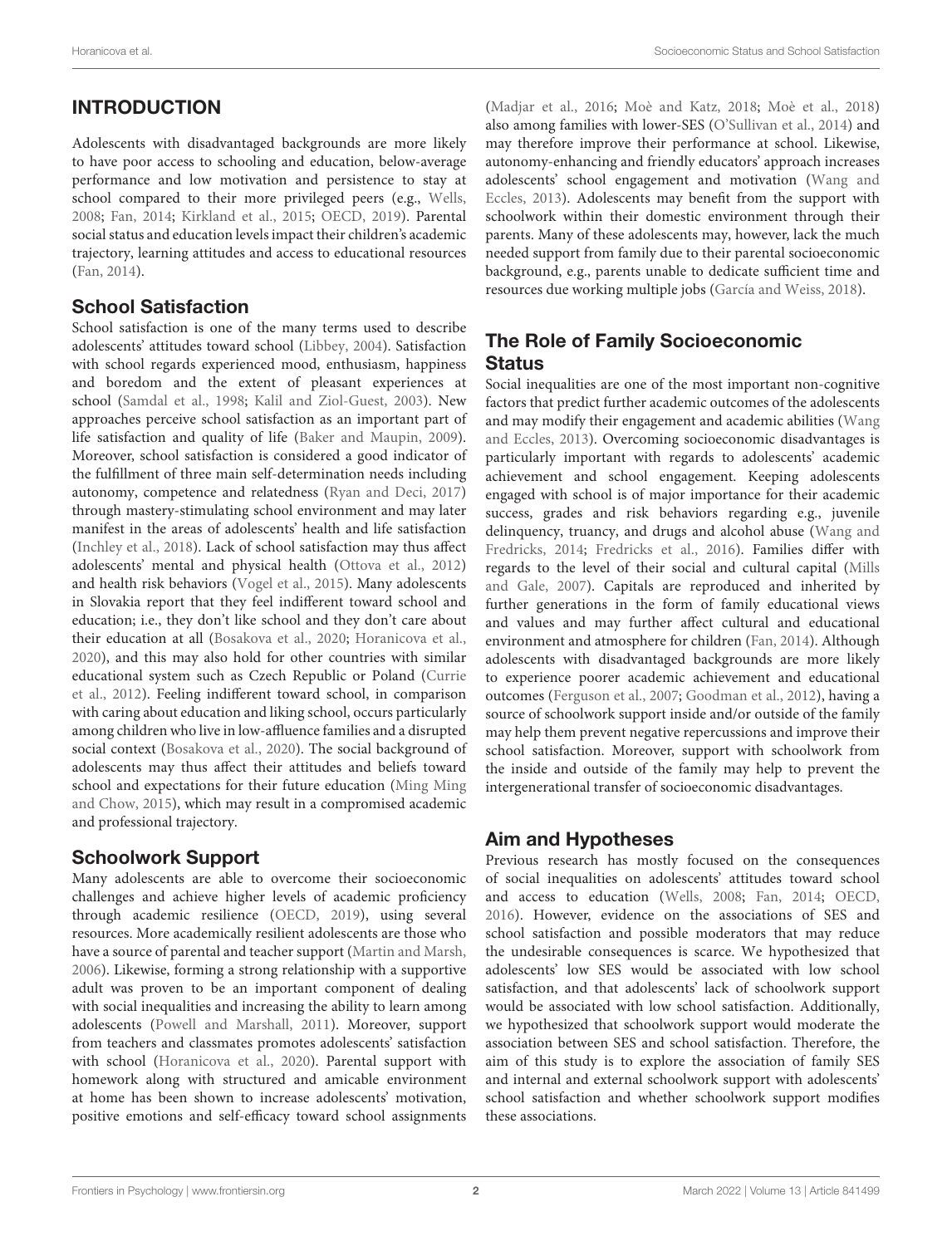# INTRODUCTION

Adolescents with disadvantaged backgrounds are more likely to have poor access to schooling and education, below-average performance and low motivation and persistence to stay at school compared to their more privileged peers (e.g., [Wells,](#page-7-0) [2008;](#page-7-0) [Fan,](#page-6-0) [2014;](#page-6-0) [Kirkland et al.,](#page-6-1) [2015;](#page-6-1) [OECD,](#page-7-1) [2019\)](#page-7-1). Parental social status and education levels impact their children's academic trajectory, learning attitudes and access to educational resources [\(Fan,](#page-6-0) [2014\)](#page-6-0).

#### School Satisfaction

School satisfaction is one of the many terms used to describe adolescents' attitudes toward school [\(Libbey,](#page-6-2) [2004\)](#page-6-2). Satisfaction with school regards experienced mood, enthusiasm, happiness and boredom and the extent of pleasant experiences at school [\(Samdal et al.,](#page-7-2) [1998;](#page-7-2) [Kalil and Ziol-Guest,](#page-6-3) [2003\)](#page-6-3). New approaches perceive school satisfaction as an important part of life satisfaction and quality of life [\(Baker and Maupin,](#page-6-4) [2009\)](#page-6-4). Moreover, school satisfaction is considered a good indicator of the fulfillment of three main self-determination needs including autonomy, competence and relatedness [\(Ryan and Deci,](#page-7-3) [2017\)](#page-7-3) through mastery-stimulating school environment and may later manifest in the areas of adolescents' health and life satisfaction [\(Inchley et al.,](#page-6-5) [2018\)](#page-6-5). Lack of school satisfaction may thus affect adolescents' mental and physical health [\(Ottova et al.,](#page-7-4) [2012\)](#page-7-4) and health risk behaviors [\(Vogel et al.,](#page-7-5) [2015\)](#page-7-5). Many adolescents in Slovakia report that they feel indifferent toward school and education; i.e., they don't like school and they don't care about their education at all [\(Bosakova et al.,](#page-6-6) [2020;](#page-6-6) [Horanicova et al.,](#page-6-7) [2020\)](#page-6-7), and this may also hold for other countries with similar educational system such as Czech Republic or Poland [\(Currie](#page-6-8) [et al.,](#page-6-8) [2012\)](#page-6-8). Feeling indifferent toward school, in comparison with caring about education and liking school, occurs particularly among children who live in low-affluence families and a disrupted social context [\(Bosakova et al.,](#page-6-6) [2020\)](#page-6-6). The social background of adolescents may thus affect their attitudes and beliefs toward school and expectations for their future education [\(Ming Ming](#page-6-9) [and Chow,](#page-6-9) [2015\)](#page-6-9), which may result in a compromised academic and professional trajectory.

## Schoolwork Support

Many adolescents are able to overcome their socioeconomic challenges and achieve higher levels of academic proficiency through academic resilience [\(OECD,](#page-7-1) [2019\)](#page-7-1), using several resources. More academically resilient adolescents are those who have a source of parental and teacher support [\(Martin and Marsh,](#page-6-10) [2006\)](#page-6-10). Likewise, forming a strong relationship with a supportive adult was proven to be an important component of dealing with social inequalities and increasing the ability to learn among adolescents [\(Powell and Marshall,](#page-7-6) [2011\)](#page-7-6). Moreover, support from teachers and classmates promotes adolescents' satisfaction with school [\(Horanicova et al.,](#page-6-7) [2020\)](#page-6-7). Parental support with homework along with structured and amicable environment at home has been shown to increase adolescents' motivation, positive emotions and self-efficacy toward school assignments [\(Madjar et al.,](#page-6-11) [2016;](#page-6-11) [Moè and Katz,](#page-7-7) [2018;](#page-7-7) [Moè et al.,](#page-7-8) [2018\)](#page-7-8) also among families with lower-SES [\(O'Sullivan et al.,](#page-7-9) [2014\)](#page-7-9) and may therefore improve their performance at school. Likewise, autonomy-enhancing and friendly educators' approach increases adolescents' school engagement and motivation [\(Wang and](#page-7-10) [Eccles,](#page-7-10) [2013\)](#page-7-10). Adolescents may benefit from the support with schoolwork within their domestic environment through their parents. Many of these adolescents may, however, lack the much needed support from family due to their parental socioeconomic background, e.g., parents unable to dedicate sufficient time and resources due working multiple jobs [\(García and Weiss,](#page-6-12) [2018\)](#page-6-12).

# The Role of Family Socioeconomic **Status**

Social inequalities are one of the most important non-cognitive factors that predict further academic outcomes of the adolescents and may modify their engagement and academic abilities [\(Wang](#page-7-10) [and Eccles,](#page-7-10) [2013\)](#page-7-10). Overcoming socioeconomic disadvantages is particularly important with regards to adolescents' academic achievement and school engagement. Keeping adolescents engaged with school is of major importance for their academic success, grades and risk behaviors regarding e.g., juvenile delinquency, truancy, and drugs and alcohol abuse [\(Wang and](#page-7-11) [Fredricks,](#page-7-11) [2014;](#page-7-11) [Fredricks et al.,](#page-6-13) [2016\)](#page-6-13). Families differ with regards to the level of their social and cultural capital [\(Mills](#page-6-14) [and Gale,](#page-6-14) [2007\)](#page-6-14). Capitals are reproduced and inherited by further generations in the form of family educational views and values and may further affect cultural and educational environment and atmosphere for children [\(Fan,](#page-6-0) [2014\)](#page-6-0). Although adolescents with disadvantaged backgrounds are more likely to experience poorer academic achievement and educational outcomes [\(Ferguson et al.,](#page-6-15) [2007;](#page-6-15) [Goodman et al.,](#page-6-16) [2012\)](#page-6-16), having a source of schoolwork support inside and/or outside of the family may help them prevent negative repercussions and improve their school satisfaction. Moreover, support with schoolwork from the inside and outside of the family may help to prevent the intergenerational transfer of socioeconomic disadvantages.

#### Aim and Hypotheses

Previous research has mostly focused on the consequences of social inequalities on adolescents' attitudes toward school and access to education [\(Wells,](#page-7-0) [2008;](#page-7-0) [Fan,](#page-6-0) [2014;](#page-6-0) [OECD,](#page-7-12) [2016\)](#page-7-12). However, evidence on the associations of SES and school satisfaction and possible moderators that may reduce the undesirable consequences is scarce. We hypothesized that adolescents' low SES would be associated with low school satisfaction, and that adolescents' lack of schoolwork support would be associated with low school satisfaction. Additionally, we hypothesized that schoolwork support would moderate the association between SES and school satisfaction. Therefore, the aim of this study is to explore the association of family SES and internal and external schoolwork support with adolescents' school satisfaction and whether schoolwork support modifies these associations.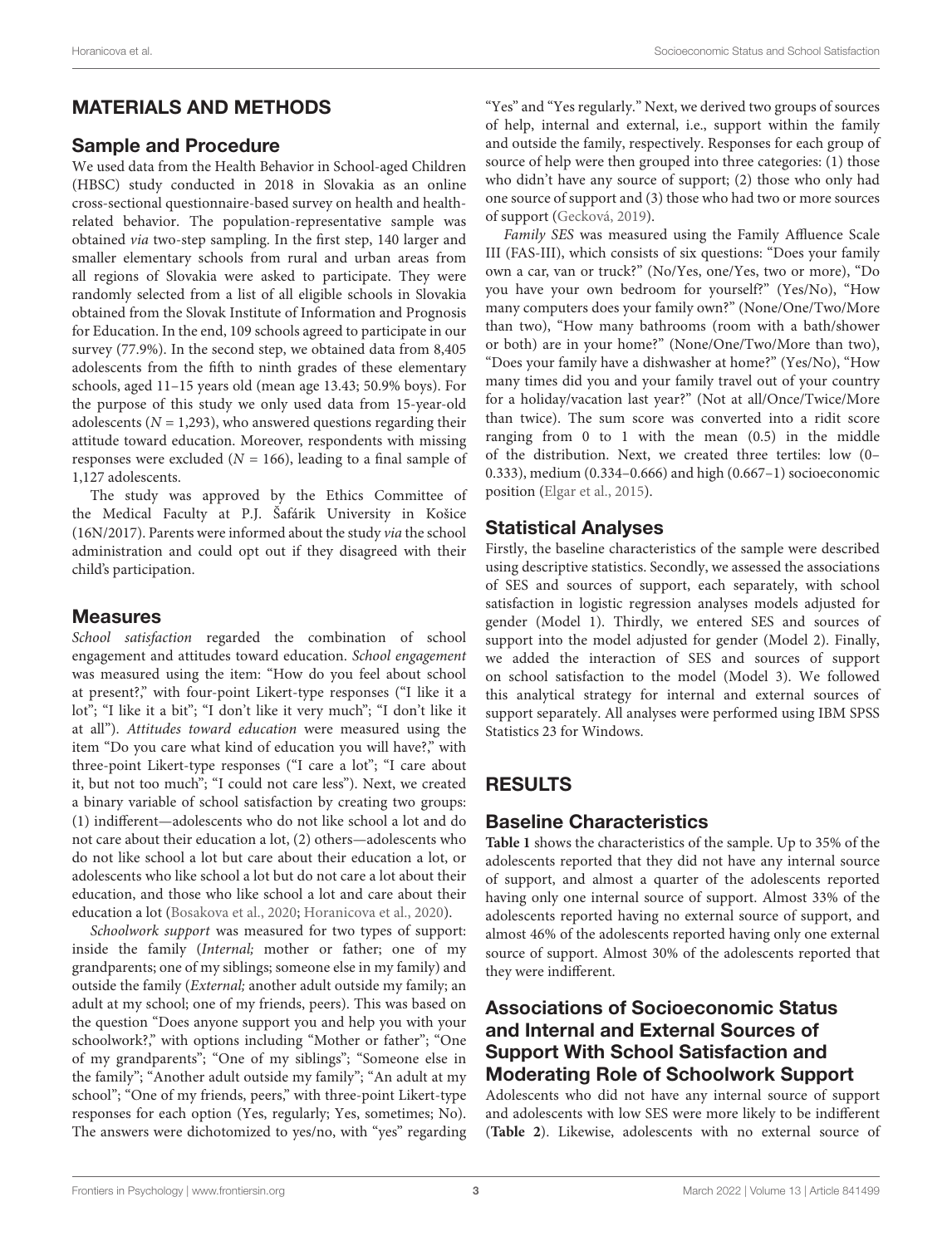# MATERIALS AND METHODS

#### Sample and Procedure

We used data from the Health Behavior in School-aged Children (HBSC) study conducted in 2018 in Slovakia as an online cross-sectional questionnaire-based survey on health and healthrelated behavior. The population-representative sample was obtained via two-step sampling. In the first step, 140 larger and smaller elementary schools from rural and urban areas from all regions of Slovakia were asked to participate. They were randomly selected from a list of all eligible schools in Slovakia obtained from the Slovak Institute of Information and Prognosis for Education. In the end, 109 schools agreed to participate in our survey (77.9%). In the second step, we obtained data from 8,405 adolescents from the fifth to ninth grades of these elementary schools, aged 11–15 years old (mean age 13.43; 50.9% boys). For the purpose of this study we only used data from 15-year-old adolescents ( $N = 1,293$ ), who answered questions regarding their attitude toward education. Moreover, respondents with missing responses were excluded ( $N = 166$ ), leading to a final sample of 1,127 adolescents.

The study was approved by the Ethics Committee of the Medical Faculty at P.J. Šafárik University in Košice (16N/2017). Parents were informed about the study via the school administration and could opt out if they disagreed with their child's participation.

# Measures

School satisfaction regarded the combination of school engagement and attitudes toward education. School engagement was measured using the item: "How do you feel about school at present?," with four-point Likert-type responses ("I like it a lot"; "I like it a bit"; "I don't like it very much"; "I don't like it at all"). Attitudes toward education were measured using the item "Do you care what kind of education you will have?," with three-point Likert-type responses ("I care a lot"; "I care about it, but not too much"; "I could not care less"). Next, we created a binary variable of school satisfaction by creating two groups: (1) indifferent—adolescents who do not like school a lot and do not care about their education a lot, (2) others—adolescents who do not like school a lot but care about their education a lot, or adolescents who like school a lot but do not care a lot about their education, and those who like school a lot and care about their education a lot [\(Bosakova et al.,](#page-6-6) [2020;](#page-6-6) [Horanicova et al.,](#page-6-7) [2020\)](#page-6-7).

Schoolwork support was measured for two types of support: inside the family (Internal; mother or father; one of my grandparents; one of my siblings; someone else in my family) and outside the family (External; another adult outside my family; an adult at my school; one of my friends, peers). This was based on the question "Does anyone support you and help you with your schoolwork?," with options including "Mother or father"; "One of my grandparents"; "One of my siblings"; "Someone else in the family"; "Another adult outside my family"; "An adult at my school"; "One of my friends, peers," with three-point Likert-type responses for each option (Yes, regularly; Yes, sometimes; No). The answers were dichotomized to yes/no, with "yes" regarding "Yes" and "Yes regularly." Next, we derived two groups of sources of help, internal and external, i.e., support within the family and outside the family, respectively. Responses for each group of source of help were then grouped into three categories: (1) those who didn't have any source of support; (2) those who only had one source of support and (3) those who had two or more sources of support [\(Gecková,](#page-6-17) [2019\)](#page-6-17).

Family SES was measured using the Family Affluence Scale III (FAS-III), which consists of six questions: "Does your family own a car, van or truck?" (No/Yes, one/Yes, two or more), "Do you have your own bedroom for yourself?" (Yes/No), "How many computers does your family own?" (None/One/Two/More than two), "How many bathrooms (room with a bath/shower or both) are in your home?" (None/One/Two/More than two), "Does your family have a dishwasher at home?" (Yes/No), "How many times did you and your family travel out of your country for a holiday/vacation last year?" (Not at all/Once/Twice/More than twice). The sum score was converted into a ridit score ranging from 0 to 1 with the mean (0.5) in the middle of the distribution. Next, we created three tertiles: low (0– 0.333), medium (0.334–0.666) and high (0.667–1) socioeconomic position [\(Elgar et al.,](#page-6-18) [2015\)](#page-6-18).

# Statistical Analyses

Firstly, the baseline characteristics of the sample were described using descriptive statistics. Secondly, we assessed the associations of SES and sources of support, each separately, with school satisfaction in logistic regression analyses models adjusted for gender (Model 1). Thirdly, we entered SES and sources of support into the model adjusted for gender (Model 2). Finally, we added the interaction of SES and sources of support on school satisfaction to the model (Model 3). We followed this analytical strategy for internal and external sources of support separately. All analyses were performed using IBM SPSS Statistics 23 for Windows.

# RESULTS

# Baseline Characteristics

**[Table 1](#page-3-0)** shows the characteristics of the sample. Up to 35% of the adolescents reported that they did not have any internal source of support, and almost a quarter of the adolescents reported having only one internal source of support. Almost 33% of the adolescents reported having no external source of support, and almost 46% of the adolescents reported having only one external source of support. Almost 30% of the adolescents reported that they were indifferent.

# Associations of Socioeconomic Status and Internal and External Sources of Support With School Satisfaction and Moderating Role of Schoolwork Support

Adolescents who did not have any internal source of support and adolescents with low SES were more likely to be indifferent (**[Table 2](#page-4-0)**). Likewise, adolescents with no external source of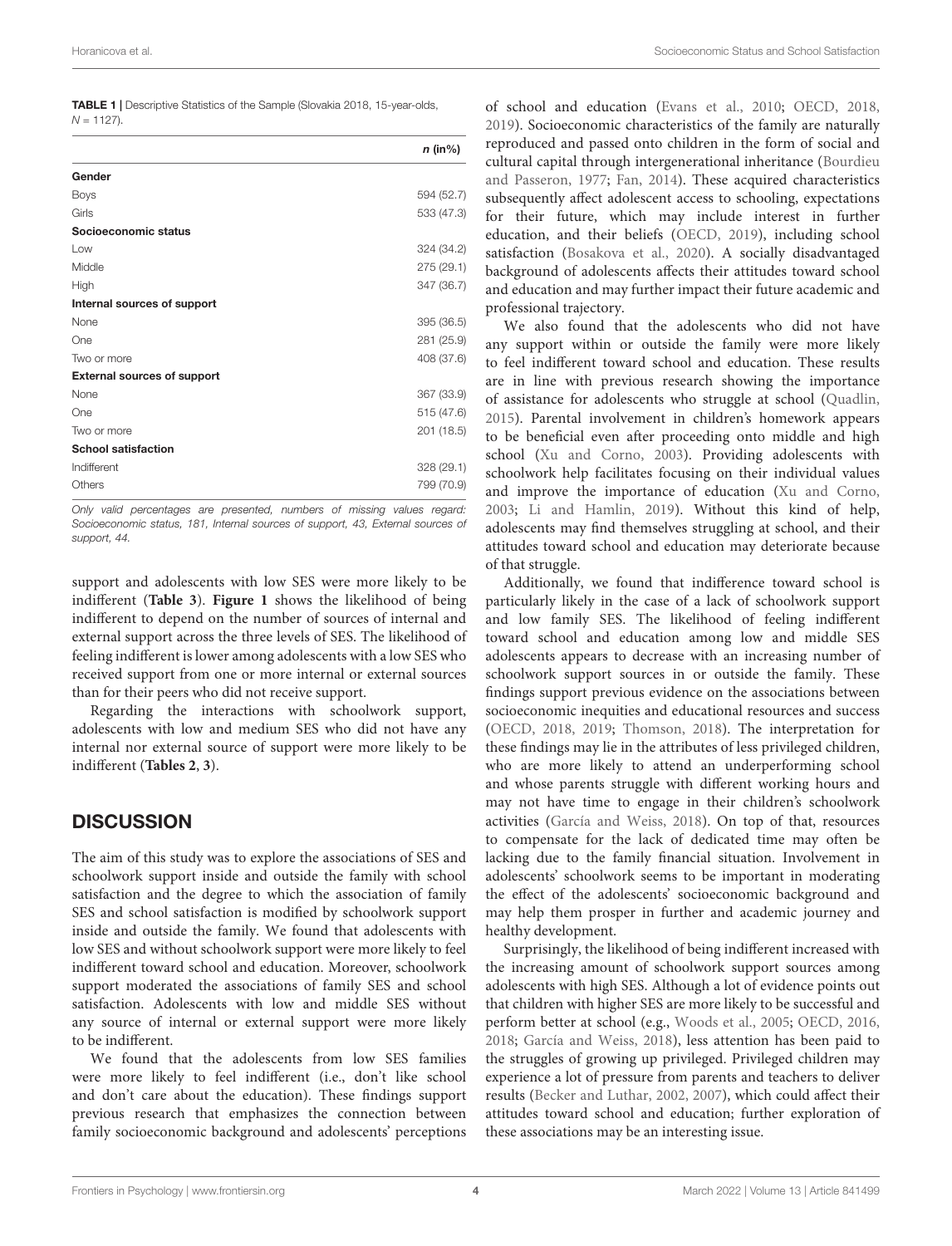| Horanicova et al. | Socioeconomic Status and School Satisfaction |
|-------------------|----------------------------------------------|
|                   |                                              |

<span id="page-3-0"></span>

|            | <b>TABLE 1</b>   Descriptive Statistics of the Sample (Slovakia 2018, 15-year-olds, |  |  |
|------------|-------------------------------------------------------------------------------------|--|--|
| N = 1127). |                                                                                     |  |  |

|                                    | $n$ (in%)  |
|------------------------------------|------------|
| Gender                             |            |
| <b>Boys</b>                        | 594 (52.7) |
| Girls                              | 533 (47.3) |
| Socioeconomic status               |            |
| Low                                | 324 (34.2) |
| Middle                             | 275 (29.1) |
| High                               | 347 (36.7) |
| Internal sources of support        |            |
| None                               | 395 (36.5) |
| One                                | 281 (25.9) |
| Two or more                        | 408 (37.6) |
| <b>External sources of support</b> |            |
| None                               | 367 (33.9) |
| One                                | 515 (47.6) |
| Two or more                        | 201 (18.5) |
| <b>School satisfaction</b>         |            |
| Indifferent                        | 328(29.1)  |
| Others                             | 799 (70.9) |

Only valid percentages are presented, numbers of missing values regard: Socioeconomic status, 181, Internal sources of support, 43, External sources of support, 44

support and adolescents with low SES were more likely to be indifferent (**[Table 3](#page-4-1)**). **[Figure 1](#page-5-0)** shows the likelihood of being indifferent to depend on the number of sources of internal and external support across the three levels of SES. The likelihood of feeling indifferent is lower among adolescents with a low SES who received support from one or more internal or external sources than for their peers who did not receive support.

Regarding the interactions with schoolwork support, adolescents with low and medium SES who did not have any internal nor external source of support were more likely to be indifferent (**[Tables 2](#page-4-0)**, **[3](#page-4-1)**).

## **DISCUSSION**

The aim of this study was to explore the associations of SES and schoolwork support inside and outside the family with school satisfaction and the degree to which the association of family SES and school satisfaction is modified by schoolwork support inside and outside the family. We found that adolescents with low SES and without schoolwork support were more likely to feel indifferent toward school and education. Moreover, schoolwork support moderated the associations of family SES and school satisfaction. Adolescents with low and middle SES without any source of internal or external support were more likely to be indifferent.

We found that the adolescents from low SES families were more likely to feel indifferent (i.e., don't like school and don't care about the education). These findings support previous research that emphasizes the connection between family socioeconomic background and adolescents' perceptions

of school and education [\(Evans et al.,](#page-6-19) [2010;](#page-6-19) [OECD,](#page-7-13) [2018,](#page-7-13) [2019\)](#page-7-1). Socioeconomic characteristics of the family are naturally reproduced and passed onto children in the form of social and cultural capital through intergenerational inheritance [\(Bourdieu](#page-6-20) [and Passeron,](#page-6-20) [1977;](#page-6-20) [Fan,](#page-6-0) [2014\)](#page-6-0). These acquired characteristics subsequently affect adolescent access to schooling, expectations for their future, which may include interest in further education, and their beliefs [\(OECD,](#page-7-1) [2019\)](#page-7-1), including school satisfaction [\(Bosakova et al.,](#page-6-6) [2020\)](#page-6-6). A socially disadvantaged background of adolescents affects their attitudes toward school and education and may further impact their future academic and professional trajectory.

We also found that the adolescents who did not have any support within or outside the family were more likely to feel indifferent toward school and education. These results are in line with previous research showing the importance of assistance for adolescents who struggle at school [\(Quadlin,](#page-7-14) [2015\)](#page-7-14). Parental involvement in children's homework appears to be beneficial even after proceeding onto middle and high school [\(Xu and Corno,](#page-7-15) [2003\)](#page-7-15). Providing adolescents with schoolwork help facilitates focusing on their individual values and improve the importance of education [\(Xu and Corno,](#page-7-15) [2003;](#page-7-15) [Li and Hamlin,](#page-6-21) [2019\)](#page-6-21). Without this kind of help, adolescents may find themselves struggling at school, and their attitudes toward school and education may deteriorate because of that struggle.

Additionally, we found that indifference toward school is particularly likely in the case of a lack of schoolwork support and low family SES. The likelihood of feeling indifferent toward school and education among low and middle SES adolescents appears to decrease with an increasing number of schoolwork support sources in or outside the family. These findings support previous evidence on the associations between socioeconomic inequities and educational resources and success [\(OECD,](#page-7-13) [2018,](#page-7-13) [2019;](#page-7-1) [Thomson,](#page-7-16) [2018\)](#page-7-16). The interpretation for these findings may lie in the attributes of less privileged children, who are more likely to attend an underperforming school and whose parents struggle with different working hours and may not have time to engage in their children's schoolwork activities [\(García and Weiss,](#page-6-12) [2018\)](#page-6-12). On top of that, resources to compensate for the lack of dedicated time may often be lacking due to the family financial situation. Involvement in adolescents' schoolwork seems to be important in moderating the effect of the adolescents' socioeconomic background and may help them prosper in further and academic journey and healthy development.

Surprisingly, the likelihood of being indifferent increased with the increasing amount of schoolwork support sources among adolescents with high SES. Although a lot of evidence points out that children with higher SES are more likely to be successful and perform better at school (e.g., [Woods et al.,](#page-7-17) [2005;](#page-7-17) [OECD,](#page-7-12) [2016,](#page-7-12) [2018;](#page-7-13) [García and Weiss,](#page-6-12) [2018\)](#page-6-12), less attention has been paid to the struggles of growing up privileged. Privileged children may experience a lot of pressure from parents and teachers to deliver results [\(Becker and Luthar,](#page-6-22) [2002,](#page-6-22) [2007\)](#page-6-23), which could affect their attitudes toward school and education; further exploration of these associations may be an interesting issue.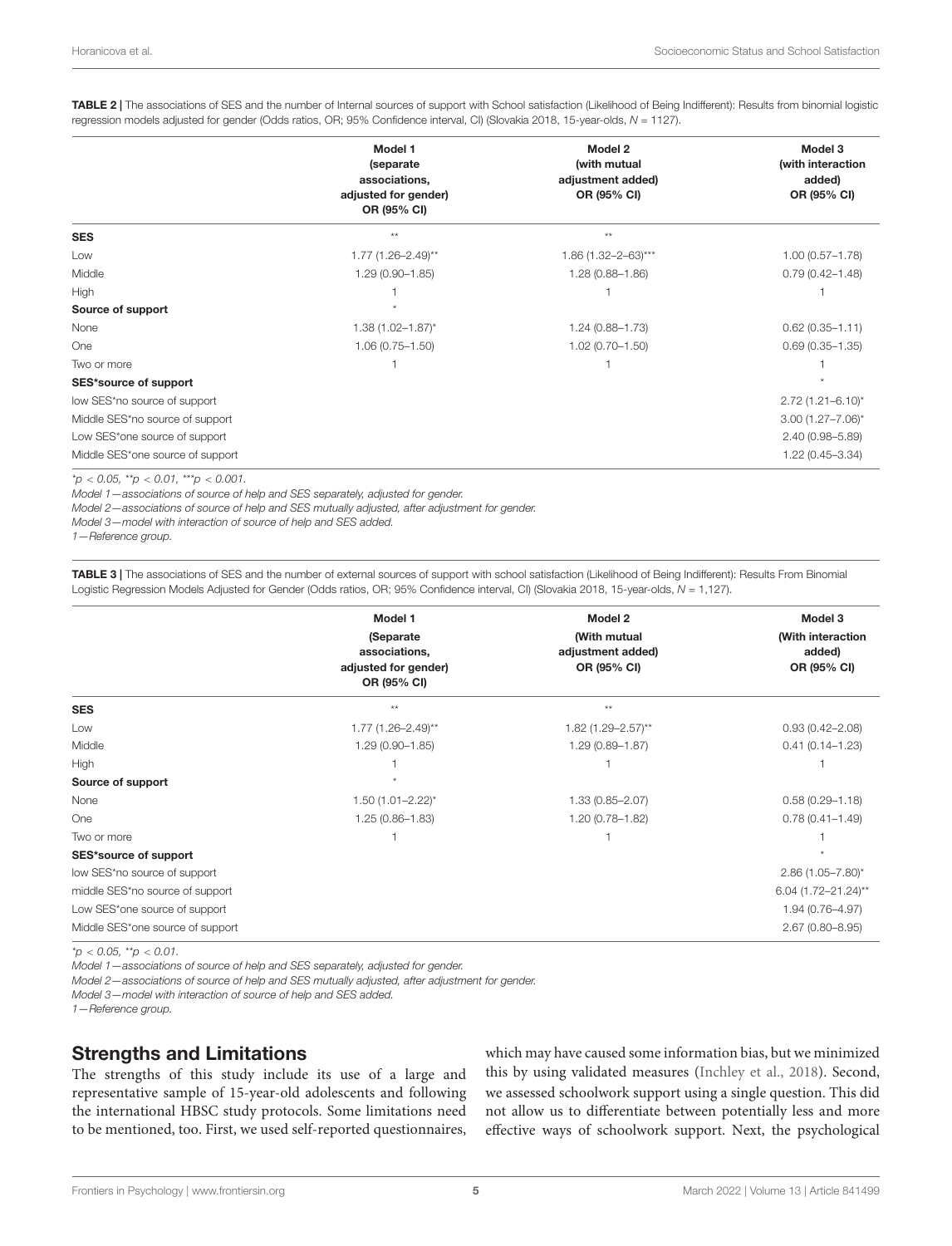<span id="page-4-0"></span>TABLE 2 | The associations of SES and the number of Internal sources of support with School satisfaction (Likelihood of Being Indifferent): Results from binomial logistic regression models adjusted for gender (Odds ratios, OR; 95% Confidence interval, CI) (Slovakia 2018, 15-year-olds, N = 1127).

|                                  | Model 1                          | Model 2                  | Model 3                 |  |
|----------------------------------|----------------------------------|--------------------------|-------------------------|--|
|                                  | (separate                        | (with mutual             | (with interaction       |  |
|                                  | associations,                    | adjustment added)        | added)                  |  |
|                                  | adjusted for gender)             | OR (95% CI)              | OR (95% CI)             |  |
|                                  | OR (95% CI)                      |                          |                         |  |
| <b>SES</b>                       | $**$                             | $**$                     |                         |  |
| Low                              | $1.77$ (1.26-2.49) <sup>**</sup> | $1.86(1.32 - 2 - 63)***$ | $1.00(0.57 - 1.78)$     |  |
| Middle                           | $1.29(0.90 - 1.85)$              | $1.28(0.88 - 1.86)$      | $0.79(0.42 - 1.48)$     |  |
| <b>High</b>                      |                                  |                          |                         |  |
| Source of support                |                                  |                          |                         |  |
| None                             | $1.38(1.02 - 1.87)^{*}$          | $1.24(0.88 - 1.73)$      | $0.62(0.35 - 1.11)$     |  |
| One                              | $1.06(0.75 - 1.50)$              | $1.02(0.70 - 1.50)$      | $0.69(0.35 - 1.35)$     |  |
| Two or more                      |                                  |                          |                         |  |
| SES*source of support            |                                  |                          |                         |  |
| low SES*no source of support     |                                  |                          | $2.72(1.21 - 6.10)^{*}$ |  |
| Middle SES*no source of support  |                                  |                          | $3.00(1.27 - 7.06)^{*}$ |  |
| Low SES*one source of support    |                                  |                          | $2.40(0.98 - 5.89)$     |  |
| Middle SES*one source of support |                                  |                          | 1.22 (0.45-3.34)        |  |

 $*_{D}$  < 0.05,  $*_{D}$  < 0.01,  $**_{D}$  < 0.001.

Model 1—associations of source of help and SES separately, adjusted for gender.

Model 2—associations of source of help and SES mutually adjusted, after adjustment for gender.

Model 3—model with interaction of source of help and SES added.

1—Reference group.

<span id="page-4-1"></span>TABLE 3 | The associations of SES and the number of external sources of support with school satisfaction (Likelihood of Being Indifferent): Results From Binomial Logistic Regression Models Adjusted for Gender (Odds ratios, OR; 95% Confidence interval, CI) (Slovakia 2018, 15-year-olds, N = 1,127).

|                                  | Model 1                                                           | Model 2                                          | Model 3<br>(With interaction<br>added)<br>OR (95% CI) |  |
|----------------------------------|-------------------------------------------------------------------|--------------------------------------------------|-------------------------------------------------------|--|
|                                  | (Separate<br>associations,<br>adjusted for gender)<br>OR (95% CI) | (With mutual<br>adjustment added)<br>OR (95% CI) |                                                       |  |
| <b>SES</b>                       | $**$                                                              | $**$                                             |                                                       |  |
| Low                              | $1.77$ (1.26-2.49) <sup>**</sup>                                  | $1.82(1.29 - 2.57)$ **                           | $0.93(0.42 - 2.08)$                                   |  |
| Middle                           | $1.29(0.90 - 1.85)$                                               | $1.29(0.89 - 1.87)$                              | $0.41(0.14 - 1.23)$                                   |  |
| High                             |                                                                   |                                                  |                                                       |  |
| Source of support                |                                                                   |                                                  |                                                       |  |
| None                             | $1.50(1.01 - 2.22)^{*}$                                           | $1.33(0.85 - 2.07)$                              | $0.58(0.29 - 1.18)$                                   |  |
| One                              | $1.25(0.86 - 1.83)$                                               | 1.20 (0.78-1.82)                                 | $0.78(0.41 - 1.49)$                                   |  |
| Two or more                      |                                                                   |                                                  |                                                       |  |
| SES*source of support            |                                                                   |                                                  |                                                       |  |
| low SES*no source of support     |                                                                   |                                                  | $2.86(1.05 - 7.80)^{*}$                               |  |
| middle SES*no source of support  |                                                                   |                                                  | 6.04 (1.72-21.24)**                                   |  |
| Low SES*one source of support    |                                                                   |                                                  | $1.94(0.76 - 4.97)$                                   |  |
| Middle SES*one source of support |                                                                   |                                                  | $2.67(0.80 - 8.95)$                                   |  |

 $*_{\mathcal{D}}$  < 0.05,  $*_{\mathcal{D}}$  < 0.01.

Model 1—associations of source of help and SES separately, adjusted for gender.

Model 2—associations of source of help and SES mutually adjusted, after adjustment for gender.

Model 3—model with interaction of source of help and SES added.

1—Reference group.

#### Strengths and Limitations

The strengths of this study include its use of a large and representative sample of 15-year-old adolescents and following the international HBSC study protocols. Some limitations need to be mentioned, too. First, we used self-reported questionnaires,

which may have caused some information bias, but we minimized this by using validated measures [\(Inchley et al.,](#page-6-5) [2018\)](#page-6-5). Second, we assessed schoolwork support using a single question. This did not allow us to differentiate between potentially less and more effective ways of schoolwork support. Next, the psychological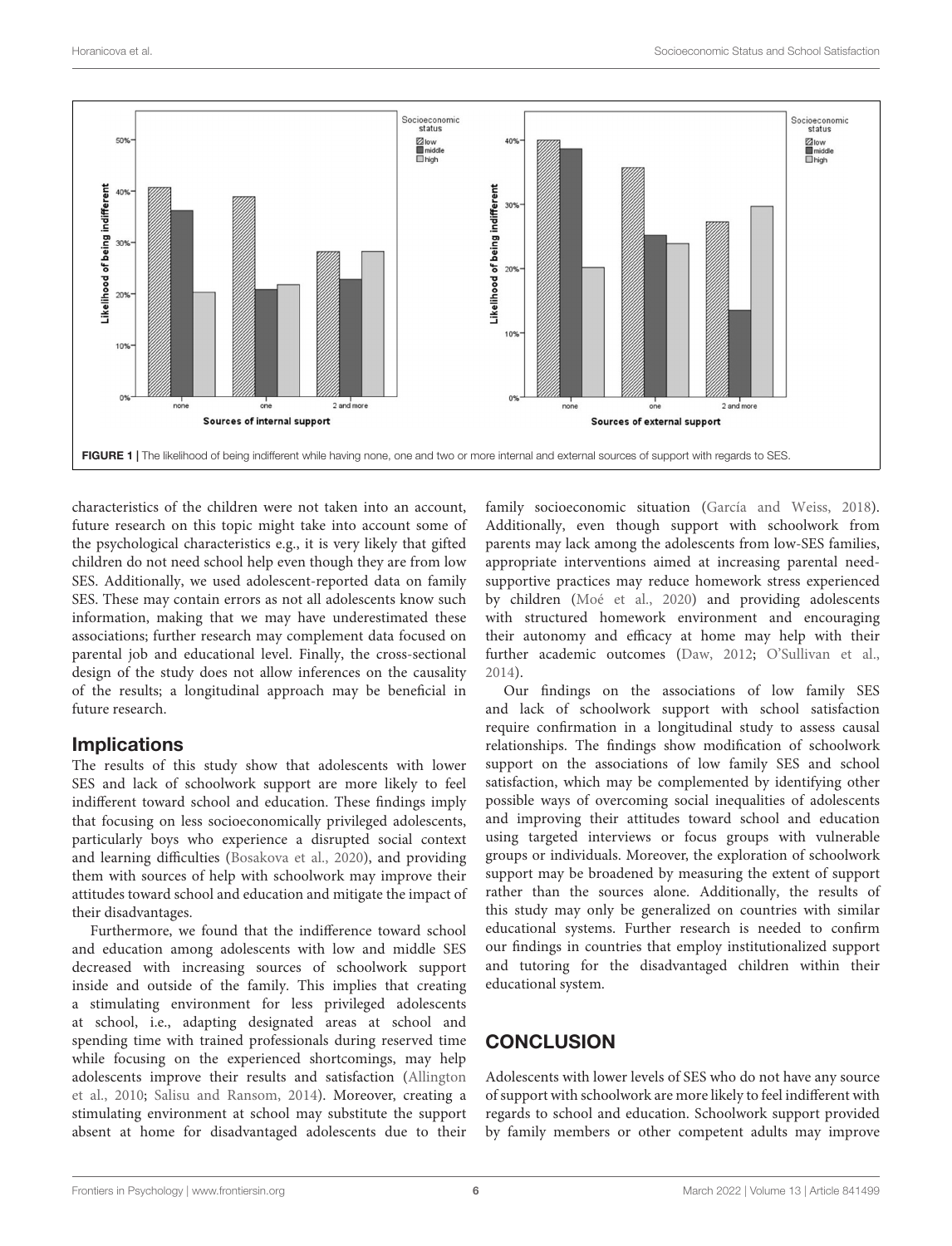

<span id="page-5-0"></span>characteristics of the children were not taken into an account, future research on this topic might take into account some of the psychological characteristics e.g., it is very likely that gifted children do not need school help even though they are from low SES. Additionally, we used adolescent-reported data on family SES. These may contain errors as not all adolescents know such information, making that we may have underestimated these associations; further research may complement data focused on parental job and educational level. Finally, the cross-sectional design of the study does not allow inferences on the causality of the results; a longitudinal approach may be beneficial in future research.

#### **Implications**

The results of this study show that adolescents with lower SES and lack of schoolwork support are more likely to feel indifferent toward school and education. These findings imply that focusing on less socioeconomically privileged adolescents, particularly boys who experience a disrupted social context and learning difficulties [\(Bosakova et al.,](#page-6-6) [2020\)](#page-6-6), and providing them with sources of help with schoolwork may improve their attitudes toward school and education and mitigate the impact of their disadvantages.

Furthermore, we found that the indifference toward school and education among adolescents with low and middle SES decreased with increasing sources of schoolwork support inside and outside of the family. This implies that creating a stimulating environment for less privileged adolescents at school, i.e., adapting designated areas at school and spending time with trained professionals during reserved time while focusing on the experienced shortcomings, may help adolescents improve their results and satisfaction [\(Allington](#page-6-24) [et al.,](#page-6-24) [2010;](#page-6-24) [Salisu and Ransom,](#page-7-18) [2014\)](#page-7-18). Moreover, creating a stimulating environment at school may substitute the support absent at home for disadvantaged adolescents due to their

family socioeconomic situation [\(García and Weiss,](#page-6-12) [2018\)](#page-6-12). Additionally, even though support with schoolwork from parents may lack among the adolescents from low-SES families, appropriate interventions aimed at increasing parental needsupportive practices may reduce homework stress experienced by children [\(Moé et al.,](#page-7-19) [2020\)](#page-7-19) and providing adolescents with structured homework environment and encouraging their autonomy and efficacy at home may help with their further academic outcomes [\(Daw,](#page-6-25) [2012;](#page-6-25) [O'Sullivan et al.,](#page-7-9) [2014\)](#page-7-9).

Our findings on the associations of low family SES and lack of schoolwork support with school satisfaction require confirmation in a longitudinal study to assess causal relationships. The findings show modification of schoolwork support on the associations of low family SES and school satisfaction, which may be complemented by identifying other possible ways of overcoming social inequalities of adolescents and improving their attitudes toward school and education using targeted interviews or focus groups with vulnerable groups or individuals. Moreover, the exploration of schoolwork support may be broadened by measuring the extent of support rather than the sources alone. Additionally, the results of this study may only be generalized on countries with similar educational systems. Further research is needed to confirm our findings in countries that employ institutionalized support and tutoring for the disadvantaged children within their educational system.

# **CONCLUSION**

Adolescents with lower levels of SES who do not have any source of support with schoolwork are more likely to feel indifferent with regards to school and education. Schoolwork support provided by family members or other competent adults may improve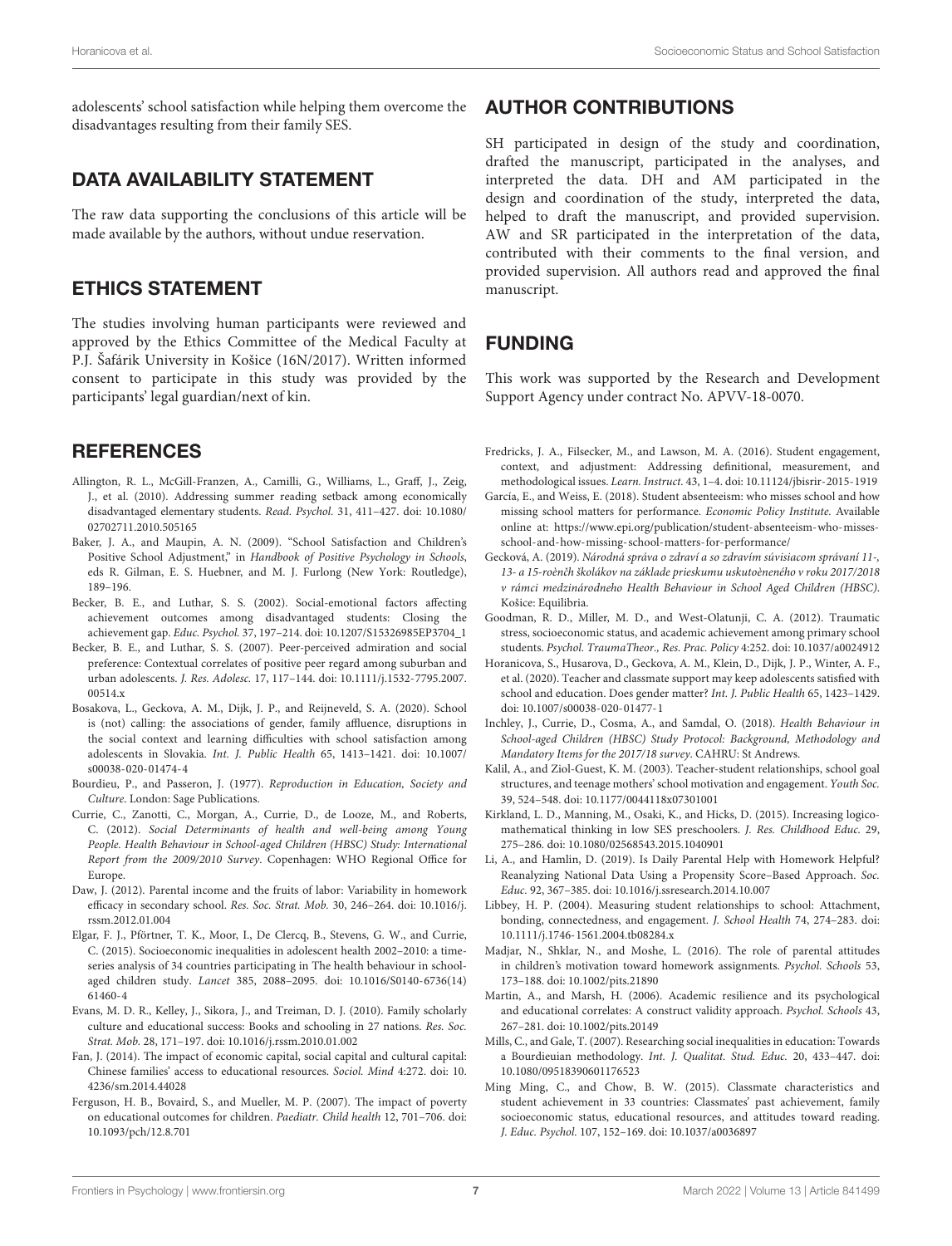adolescents' school satisfaction while helping them overcome the disadvantages resulting from their family SES.

### DATA AVAILABILITY STATEMENT

The raw data supporting the conclusions of this article will be made available by the authors, without undue reservation.

#### ETHICS STATEMENT

The studies involving human participants were reviewed and approved by the Ethics Committee of the Medical Faculty at P.J. Šafárik University in Košice (16N/2017). Written informed consent to participate in this study was provided by the participants' legal guardian/next of kin.

### **REFERENCES**

- <span id="page-6-24"></span>Allington, R. L., McGill-Franzen, A., Camilli, G., Williams, L., Graff, J., Zeig, J., et al. (2010). Addressing summer reading setback among economically disadvantaged elementary students. Read. Psychol. 31, 411–427. [doi: 10.1080/](https://doi.org/10.1080/02702711.2010.505165) [02702711.2010.505165](https://doi.org/10.1080/02702711.2010.505165)
- <span id="page-6-4"></span>Baker, J. A., and Maupin, A. N. (2009). "School Satisfaction and Children's Positive School Adjustment," in Handbook of Positive Psychology in Schools, eds R. Gilman, E. S. Huebner, and M. J. Furlong (New York: Routledge), 189–196.
- <span id="page-6-22"></span>Becker, B. E., and Luthar, S. S. (2002). Social-emotional factors affecting achievement outcomes among disadvantaged students: Closing the achievement gap. Educ. Psychol. 37, 197–214. [doi: 10.1207/S15326985EP3704\\_1](https://doi.org/10.1207/S15326985EP3704_1)
- <span id="page-6-23"></span>Becker, B. E., and Luthar, S. S. (2007). Peer-perceived admiration and social preference: Contextual correlates of positive peer regard among suburban and urban adolescents. J. Res. Adolesc. 17, 117–144. [doi: 10.1111/j.1532-7795.2007.](https://doi.org/10.1111/j.1532-7795.2007.00514.x) [00514.x](https://doi.org/10.1111/j.1532-7795.2007.00514.x)
- <span id="page-6-6"></span>Bosakova, L., Geckova, A. M., Dijk, J. P., and Reijneveld, S. A. (2020). School is (not) calling: the associations of gender, family affluence, disruptions in the social context and learning difficulties with school satisfaction among adolescents in Slovakia. Int. J. Public Health 65, 1413–1421. [doi: 10.1007/](https://doi.org/10.1007/s00038-020-01474-4) [s00038-020-01474-4](https://doi.org/10.1007/s00038-020-01474-4)
- <span id="page-6-20"></span>Bourdieu, P., and Passeron, J. (1977). Reproduction in Education, Society and Culture. London: Sage Publications.
- <span id="page-6-8"></span>Currie, C., Zanotti, C., Morgan, A., Currie, D., de Looze, M., and Roberts, C. (2012). Social Determinants of health and well-being among Young People. Health Behaviour in School-aged Children (HBSC) Study: International Report from the 2009/2010 Survey. Copenhagen: WHO Regional Office for Europe.
- <span id="page-6-25"></span>Daw, J. (2012). Parental income and the fruits of labor: Variability in homework efficacy in secondary school. Res. Soc. Strat. Mob. 30, 246–264. [doi: 10.1016/j.](https://doi.org/10.1016/j.rssm.2012.01.004) [rssm.2012.01.004](https://doi.org/10.1016/j.rssm.2012.01.004)
- <span id="page-6-18"></span>Elgar, F. J., Pförtner, T. K., Moor, I., De Clercq, B., Stevens, G. W., and Currie, C. (2015). Socioeconomic inequalities in adolescent health 2002–2010: a timeseries analysis of 34 countries participating in The health behaviour in schoolaged children study. Lancet 385, 2088–2095. [doi: 10.1016/S0140-6736\(14\)](https://doi.org/10.1016/S0140-6736(14)61460-4) [61460-4](https://doi.org/10.1016/S0140-6736(14)61460-4)
- <span id="page-6-19"></span>Evans, M. D. R., Kelley, J., Sikora, J., and Treiman, D. J. (2010). Family scholarly culture and educational success: Books and schooling in 27 nations. Res. Soc. Strat. Mob. 28, 171–197. [doi: 10.1016/j.rssm.2010.01.002](https://doi.org/10.1016/j.rssm.2010.01.002)
- <span id="page-6-0"></span>Fan, J. (2014). The impact of economic capital, social capital and cultural capital: Chinese families' access to educational resources. Sociol. Mind 4:272. [doi: 10.](https://doi.org/10.4236/sm.2014.44028) [4236/sm.2014.44028](https://doi.org/10.4236/sm.2014.44028)
- <span id="page-6-15"></span>Ferguson, H. B., Bovaird, S., and Mueller, M. P. (2007). The impact of poverty on educational outcomes for children. Paediatr. Child health 12, 701–706. [doi:](https://doi.org/10.1093/pch/12.8.701) [10.1093/pch/12.8.701](https://doi.org/10.1093/pch/12.8.701)

#### AUTHOR CONTRIBUTIONS

SH participated in design of the study and coordination, drafted the manuscript, participated in the analyses, and interpreted the data. DH and AM participated in the design and coordination of the study, interpreted the data, helped to draft the manuscript, and provided supervision. AW and SR participated in the interpretation of the data, contributed with their comments to the final version, and provided supervision. All authors read and approved the final manuscript.

# FUNDING

This work was supported by the Research and Development Support Agency under contract No. APVV-18-0070.

- <span id="page-6-13"></span>Fredricks, J. A., Filsecker, M., and Lawson, M. A. (2016). Student engagement, context, and adjustment: Addressing definitional, measurement, and methodological issues. Learn. Instruct. 43, 1–4. [doi: 10.11124/jbisrir-2015-1919](https://doi.org/10.11124/jbisrir-2015-1919)
- <span id="page-6-12"></span>García, E., and Weiss, E. (2018). Student absenteeism: who misses school and how missing school matters for performance. Economic Policy Institute. Available online at: [https://www.epi.org/publication/student-absenteeism-who-misses](https://www.epi.org/publication/student-absenteeism-who-misses-school-and-how-missing-school-matters-for-performance/)[school-and-how-missing-school-matters-for-performance/](https://www.epi.org/publication/student-absenteeism-who-misses-school-and-how-missing-school-matters-for-performance/)
- <span id="page-6-17"></span>Gecková, A. (2019). Národná správa o zdraví a so zdravím súvisiacom správaní 11-, 13- a 15-roènčh školákov na základe prieskumu uskutoèneného v roku 2017/2018 v rámci medzinárodneho Health Behaviour in School Aged Children (HBSC). Košice: Equilibria.
- <span id="page-6-16"></span>Goodman, R. D., Miller, M. D., and West-Olatunji, C. A. (2012). Traumatic stress, socioeconomic status, and academic achievement among primary school students. Psychol. TraumaTheor., Res. Prac. Policy 4:252. [doi: 10.1037/a0024912](https://doi.org/10.1037/a0024912)
- <span id="page-6-7"></span>Horanicova, S., Husarova, D., Geckova, A. M., Klein, D., Dijk, J. P., Winter, A. F., et al. (2020). Teacher and classmate support may keep adolescents satisfied with school and education. Does gender matter? Int. J. Public Health 65, 1423–1429. [doi: 10.1007/s00038-020-01477-1](https://doi.org/10.1007/s00038-020-01477-1)
- <span id="page-6-5"></span>Inchley, J., Currie, D., Cosma, A., and Samdal, O. (2018). Health Behaviour in School-aged Children (HBSC) Study Protocol: Background, Methodology and Mandatory Items for the 2017/18 survey. CAHRU: St Andrews.
- <span id="page-6-3"></span>Kalil, A., and Ziol-Guest, K. M. (2003). Teacher-student relationships, school goal structures, and teenage mothers' school motivation and engagement. Youth Soc. 39, 524–548. [doi: 10.1177/0044118x07301001](https://doi.org/10.1177/0044118x07301001)
- <span id="page-6-1"></span>Kirkland, L. D., Manning, M., Osaki, K., and Hicks, D. (2015). Increasing logicomathematical thinking in low SES preschoolers. J. Res. Childhood Educ. 29, 275–286. [doi: 10.1080/02568543.2015.1040901](https://doi.org/10.1080/02568543.2015.1040901)
- <span id="page-6-21"></span>Li, A., and Hamlin, D. (2019). Is Daily Parental Help with Homework Helpful? Reanalyzing National Data Using a Propensity Score–Based Approach. Soc. Educ. 92, 367–385. [doi: 10.1016/j.ssresearch.2014.10.007](https://doi.org/10.1016/j.ssresearch.2014.10.007)
- <span id="page-6-2"></span>Libbey, H. P. (2004). Measuring student relationships to school: Attachment, bonding, connectedness, and engagement. J. School Health 74, 274–283. [doi:](https://doi.org/10.1111/j.1746-1561.2004.tb08284.x) [10.1111/j.1746-1561.2004.tb08284.x](https://doi.org/10.1111/j.1746-1561.2004.tb08284.x)
- <span id="page-6-11"></span>Madjar, N., Shklar, N., and Moshe, L. (2016). The role of parental attitudes in children's motivation toward homework assignments. Psychol. Schools 53, 173–188. [doi: 10.1002/pits.21890](https://doi.org/10.1002/pits.21890)
- <span id="page-6-10"></span>Martin, A., and Marsh, H. (2006). Academic resilience and its psychological and educational correlates: A construct validity approach. Psychol. Schools 43, 267–281. [doi: 10.1002/pits.20149](https://doi.org/10.1002/pits.20149)
- <span id="page-6-14"></span>Mills, C., and Gale, T. (2007). Researching social inequalities in education: Towards a Bourdieuian methodology. Int. J. Qualitat. Stud. Educ. 20, 433–447. [doi:](https://doi.org/10.1080/09518390601176523) [10.1080/09518390601176523](https://doi.org/10.1080/09518390601176523)
- <span id="page-6-9"></span>Ming Ming, C., and Chow, B. W. (2015). Classmate characteristics and student achievement in 33 countries: Classmates' past achievement, family socioeconomic status, educational resources, and attitudes toward reading. J. Educ. Psychol. 107, 152–169. [doi: 10.1037/a0036897](https://doi.org/10.1037/a0036897)